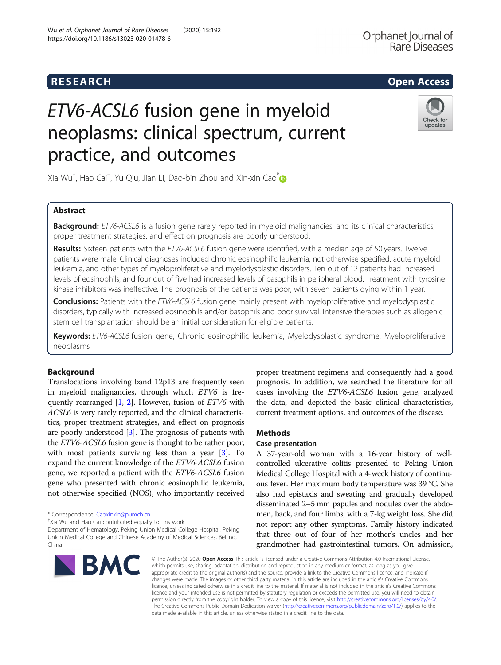# R E S EAR CH Open Access

# ETV6-ACSL6 fusion gene in myeloid neoplasms: clinical spectrum, current practice, and outcomes



Xia Wu† , Hao Cai† , Yu Qiu, Jian Li, Dao-bin Zhou and Xin-xin Cao[\\*](http://orcid.org/0000-0001-7884-3073)

# Abstract

Background: ETV6-ACSL6 is a fusion gene rarely reported in myeloid malignancies, and its clinical characteristics, proper treatment strategies, and effect on prognosis are poorly understood.

Results: Sixteen patients with the ETV6-ACSL6 fusion gene were identified, with a median age of 50 years. Twelve patients were male. Clinical diagnoses included chronic eosinophilic leukemia, not otherwise specified, acute myeloid leukemia, and other types of myeloproliferative and myelodysplastic disorders. Ten out of 12 patients had increased levels of eosinophils, and four out of five had increased levels of basophils in peripheral blood. Treatment with tyrosine kinase inhibitors was ineffective. The prognosis of the patients was poor, with seven patients dying within 1 year.

Conclusions: Patients with the ETV6-ACSL6 fusion gene mainly present with myeloproliferative and myelodysplastic disorders, typically with increased eosinophils and/or basophils and poor survival. Intensive therapies such as allogenic stem cell transplantation should be an initial consideration for eligible patients.

Keywords: ETV6-ACSL6 fusion gene, Chronic eosinophilic leukemia, Myelodysplastic syndrome, Myeloproliferative neoplasms

# Background

Translocations involving band 12p13 are frequently seen in myeloid malignancies, through which ETV6 is frequently rearranged  $[1, 2]$  $[1, 2]$  $[1, 2]$ . However, fusion of *ETV6* with ACSL6 is very rarely reported, and the clinical characteristics, proper treatment strategies, and effect on prognosis are poorly understood [[3\]](#page-4-0). The prognosis of patients with the ETV6-ACSL6 fusion gene is thought to be rather poor, with most patients surviving less than a year [\[3](#page-4-0)]. To expand the current knowledge of the ETV6-ACSL6 fusion gene, we reported a patient with the ETV6-ACSL6 fusion gene who presented with chronic eosinophilic leukemia, not otherwise specified (NOS), who importantly received

\* Correspondence: [Caoxinxin@pumch.cn](mailto:Caoxinxin@pumch.cn) †

Department of Hematology, Peking Union Medical College Hospital, Peking Union Medical College and Chinese Academy of Medical Sciences, Beijing, China



proper treatment regimens and consequently had a good prognosis. In addition, we searched the literature for all cases involving the ETV6-ACSL6 fusion gene, analyzed the data, and depicted the basic clinical characteristics, current treatment options, and outcomes of the disease.

# Methods

# Case presentation

A 37-year-old woman with a 16-year history of wellcontrolled ulcerative colitis presented to Peking Union Medical College Hospital with a 4-week history of continuous fever. Her maximum body temperature was 39 °C. She also had epistaxis and sweating and gradually developed disseminated 2–5 mm papules and nodules over the abdomen, back, and four limbs, with a 7-kg weight loss. She did not report any other symptoms. Family history indicated that three out of four of her mother's uncles and her grandmother had gastrointestinal tumors. On admission,

© The Author(s), 2020 **Open Access** This article is licensed under a Creative Commons Attribution 4.0 International License, which permits use, sharing, adaptation, distribution and reproduction in any medium or format, as long as you give appropriate credit to the original author(s) and the source, provide a link to the Creative Commons licence, and indicate if changes were made. The images or other third party material in this article are included in the article's Creative Commons licence, unless indicated otherwise in a credit line to the material. If material is not included in the article's Creative Commons licence and your intended use is not permitted by statutory regulation or exceeds the permitted use, you will need to obtain permission directly from the copyright holder. To view a copy of this licence, visit [http://creativecommons.org/licenses/by/4.0/.](http://creativecommons.org/licenses/by/4.0/) The Creative Commons Public Domain Dedication waiver [\(http://creativecommons.org/publicdomain/zero/1.0/](http://creativecommons.org/publicdomain/zero/1.0/)) applies to the data made available in this article, unless otherwise stated in a credit line to the data.

<sup>&</sup>lt;sup>+</sup>Xia Wu and Hao Cai contributed equally to this work.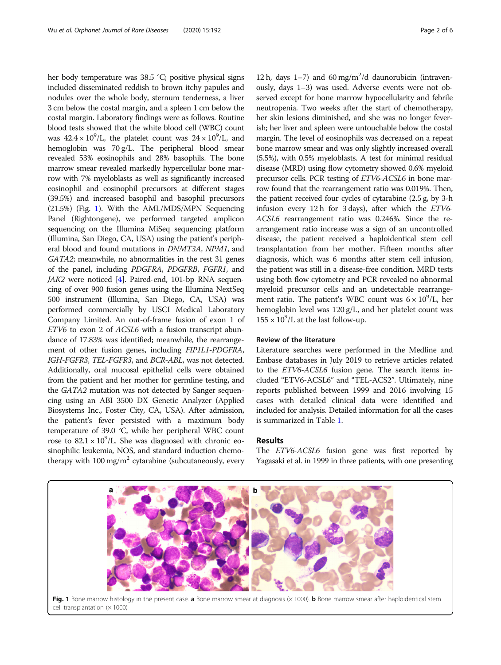her body temperature was 38.5 °C; positive physical signs included disseminated reddish to brown itchy papules and nodules over the whole body, sternum tenderness, a liver 3 cm below the costal margin, and a spleen 1 cm below the costal margin. Laboratory findings were as follows. Routine blood tests showed that the white blood cell (WBC) count was  $42.4 \times 10^9$ /L, the platelet count was  $24 \times 10^9$ /L, and hemoglobin was 70 g/L. The peripheral blood smear revealed 53% eosinophils and 28% basophils. The bone marrow smear revealed markedly hypercellular bone marrow with 7% myeloblasts as well as significantly increased eosinophil and eosinophil precursors at different stages (39.5%) and increased basophil and basophil precursors (21.5%) (Fig. 1). With the AML/MDS/MPN Sequencing Panel (Rightongene), we performed targeted amplicon sequencing on the Illumina MiSeq sequencing platform (Illumina, San Diego, CA, USA) using the patient's peripheral blood and found mutations in DNMT3A, NPM1, and GATA2; meanwhile, no abnormalities in the rest 31 genes of the panel, including PDGFRA, PDGFRB, FGFR1, and JAK2 were noticed [\[4](#page-5-0)]. Paired-end, 101-bp RNA sequencing of over 900 fusion genes using the Illumina NextSeq 500 instrument (Illumina, San Diego, CA, USA) was performed commercially by USCI Medical Laboratory Company Limited. An out-of-frame fusion of exon 1 of ETV6 to exon 2 of ACSL6 with a fusion transcript abundance of 17.83% was identified; meanwhile, the rearrangement of other fusion genes, including FIP1L1-PDGFRA, IGH-FGFR3, TEL-FGFR3, and BCR-ABL, was not detected. Additionally, oral mucosal epithelial cells were obtained from the patient and her mother for germline testing, and the GATA2 mutation was not detected by Sanger sequencing using an ABI 3500 DX Genetic Analyzer (Applied Biosystems Inc., Foster City, CA, USA). After admission, the patient's fever persisted with a maximum body temperature of 39.0 °C, while her peripheral WBC count rose to  $82.1 \times 10^9$ /L. She was diagnosed with chronic eosinophilic leukemia, NOS, and standard induction chemotherapy with  $100 \text{ mg/m}^2$  cytarabine (subcutaneously, every

12 h, days  $1-7$ ) and 60 mg/m<sup>2</sup>/d daunorubicin (intravenously, days 1–3) was used. Adverse events were not observed except for bone marrow hypocellularity and febrile neutropenia. Two weeks after the start of chemotherapy, her skin lesions diminished, and she was no longer feverish; her liver and spleen were untouchable below the costal margin. The level of eosinophils was decreased on a repeat bone marrow smear and was only slightly increased overall (5.5%), with 0.5% myeloblasts. A test for minimal residual disease (MRD) using flow cytometry showed 0.6% myeloid precursor cells. PCR testing of ETV6-ACSL6 in bone marrow found that the rearrangement ratio was 0.019%. Then, the patient received four cycles of cytarabine (2.5 g, by 3-h infusion every 12 h for 3 days), after which the  $ETV6$ -ACSL6 rearrangement ratio was 0.246%. Since the rearrangement ratio increase was a sign of an uncontrolled disease, the patient received a haploidentical stem cell transplantation from her mother. Fifteen months after diagnosis, which was 6 months after stem cell infusion, the patient was still in a disease-free condition. MRD tests using both flow cytometry and PCR revealed no abnormal myeloid precursor cells and an undetectable rearrangement ratio. The patient's WBC count was  $6 \times 10^9$ /L, her hemoglobin level was 120 g/L, and her platelet count was  $155 \times 10^9$ /L at the last follow-up.

## Review of the literature

Literature searches were performed in the Medline and Embase databases in July 2019 to retrieve articles related to the ETV6-ACSL6 fusion gene. The search items included "ETV6-ACSL6" and "TEL-ACS2". Ultimately, nine reports published between 1999 and 2016 involving 15 cases with detailed clinical data were identified and included for analysis. Detailed information for all the cases is summarized in Table [1.](#page-2-0)

#### Results

The *ETV6-ACSL6* fusion gene was first reported by Yagasaki et al. in 1999 in three patients, with one presenting

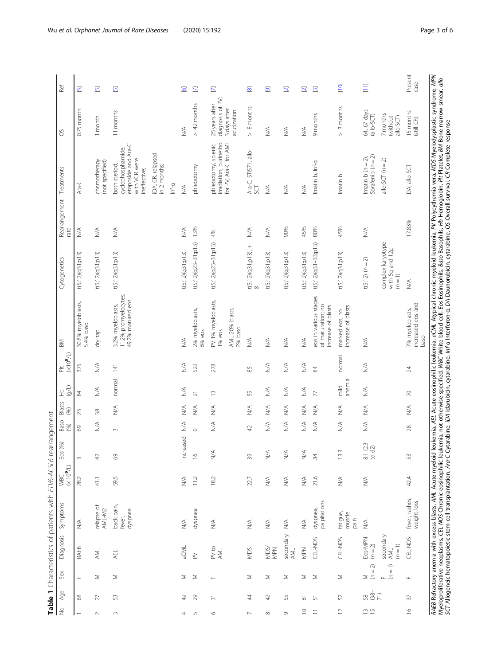<span id="page-2-0"></span>

| Ref                                                                                       | $\overline{\mathbb{D}}$          | $\boxed{5}$                     | $\overline{5}$                                                                             |                                            | $\overline{\mathcal{O}}$         | $\overline{\mathbb{E}}$   | $\overline{\mathbb{E}}$<br>Š,                                           | $\overline{\infty}$                                | $\overline{\mathbf{e}}$          | $\overline{\mathbf{N}}$          | $\overline{\mathbf{2}}$          | $\overline{\mathbf{S}}$                                          | $[10]$                               | Ξ                                           |                                                 | Present<br>case                              |
|-------------------------------------------------------------------------------------------|----------------------------------|---------------------------------|--------------------------------------------------------------------------------------------|--------------------------------------------|----------------------------------|---------------------------|-------------------------------------------------------------------------|----------------------------------------------------|----------------------------------|----------------------------------|----------------------------------|------------------------------------------------------------------|--------------------------------------|---------------------------------------------|-------------------------------------------------|----------------------------------------------|
| ŏ                                                                                         | $0.75$ month                     | 1 month                         | 11 months                                                                                  |                                            | ₹                                | $> 42$ months             | 25 years after<br>diagnosis of<br>3 days after<br>acutization           | 8 months<br>$\land$                                | ≶∕                               | ≶<br>≥                           | $\stackrel{\triangle}{\geq}$     | 9 months                                                         | 3 months<br>$\wedge$                 | 64, 67 days<br>(allo-SCT)                   | 7 months<br>(without<br>allo-SCT)               | 15 months<br>(still CR)                      |
| Treatments                                                                                | Ara-C                            | chemotherapy<br>(not specified) | etoposide and Ara-C<br>cyclophosphamide,<br>with VCR were<br>both steriod,<br>ineffective; | iDA: CR, relapsed<br>in 2 months;<br>Inf-a | $\stackrel{\triangleleft}{\geq}$ | phlebotomy                | irradiation, purinethol<br>for PV; Ara-C for AML<br>phlebotomy, splenic | Ara-C, STI571, allo-<br>SCT                        | ⋚                                | $\stackrel{\leq}{\geq}$          | $\lessgtr$                       | Imatinib, Inf-a                                                  | Imatinib                             | Sorafenib $(n = 2)$<br>Imatinib $(n = 2)$ , | allo-SCT $(n = 2)$                              | DA, allo-SCT                                 |
| Rearrangement<br>rate                                                                     | ⋚                                | $\lessgtr$                      | $\lessgtr$                                                                                 |                                            | $\stackrel{\triangle}{\geq}$     | 13%                       | 4%                                                                      | $\stackrel{\triangleleft}{\geq}$                   | $\stackrel{\triangleleft}{\geq}$ | 90%                              | 45%                              | 80%                                                              | 45%                                  | $\stackrel{\triangleleft}{\geq}$            |                                                 | 17.83%                                       |
| Cytogenetics                                                                              | t(5;12)(q31;p13)                 | t(5;12)(q31;p13)                | t(5;12)(q31;p13)                                                                           |                                            | t(5;12)(q31;p13)                 | $t(5; 12)(q23-31; p13)$   | $t(5;12)(q23-31p13)$                                                    | $\qquad \qquad +$<br>t(5;12)(q31;p13),<br>$\infty$ | t(5;12)(q31;p13)                 | t(5;12)(q31;p13)                 | t(5; 12)(q31; p13)               | $t(5;12)(q31-33p13)$                                             | t(5;12)(q31;p13)                     | $t(5;12) (n = 2)$                           | complex karyotype<br>with 5q and 12p<br>$(n=1)$ | $\stackrel{\triangle}{\geq}$                 |
| B <sub>M</sub>                                                                            | 30.8% myeloblasts,<br>5.4% baso  | dry tap                         | 11.2% promyelocytes,<br>49.2% matured eos<br>3.2% myeloblasts,                             |                                            | $\lesssim$                       | 2% myeloblasts,<br>6% eos | PV 1% myeloblasts,<br>AML 20% blasts,<br>2% baso<br>$1%$ eos            | $\stackrel{\triangleleft}{\geq}$                   | $\stackrel{\triangleleft}{\geq}$ | $\stackrel{\triangleleft}{\geq}$ | $\lessgtr$                       | eos in various stages<br>of maturation; no<br>increase of blasts | increase of blasts<br>marked eos, no | $\stackrel{\triangleleft}{\geq}$            |                                                 | increased eos and<br>7% myeloblasts,<br>baso |
| $\left( \mathbb{N}^{\mathbf{0}} \mathbb{N} \right)$<br>$\overline{\overline{\mathbb{L}}}$ | 375                              | $\lessgtr$                      | 141                                                                                        |                                            | $\lessgtr$                       | 522                       | 278                                                                     | $85$                                               | $\lessgtr$                       | $\stackrel{\triangleleft}{\geq}$ | $\lessgtr$                       | $\frac{8}{3}$                                                    | normal                               | $\stackrel{\triangleleft}{\geq}$            |                                                 | 24                                           |
| (9/1)<br>£                                                                                | \$                               | $\lessgtr$                      | normal                                                                                     |                                            | $\lessgtr$                       | $\overline{z}$            | $\widetilde{\Box}$                                                      | 55                                                 | $\stackrel{\triangleleft}{\geq}$ | $\stackrel{\triangleleft}{\geq}$ | $\lessgtr$                       | $\overline{7}$                                                   | anemia<br>$\frac{1}{2}$              | $\lessgtr$                                  |                                                 | $\approx$                                    |
| Blasts<br>(96)                                                                            | 23                               | 38                              | $\stackrel{\triangleleft}{\geq}$                                                           |                                            | ₹                                | ≶<br>≥                    | $\lessgtr$                                                              | $\stackrel{\triangleleft}{\geq}$                   | ⋚                                | ≶                                | ≶∕                               | $\stackrel{\triangleleft}{\geq}$                                 | ≶                                    | $\stackrel{\triangleleft}{\geq}$            |                                                 | $\lessapprox$                                |
| Baso<br>$($ %)                                                                            | 69                               | $\lessgtr$                      | $\infty$                                                                                   |                                            | $\frac{1}{2}$                    | $\circ$                   | $\lessgtr$                                                              | 42                                                 | ⋚                                | $\stackrel{\leq}{\geq}$          | $\lessgtr$                       | $\lessapprox$                                                    | $\stackrel{\triangleleft}{\geq}$     | $\lessapprox$                               |                                                 | 28                                           |
| Eos (%)                                                                                   | $\sim$                           | 42                              | 8                                                                                          |                                            | Increased                        | $\approx$                 | $\stackrel{\triangleleft}{\geq}$                                        | 39                                                 | $\lessgtr$                       | $\stackrel{\triangle}{\geq}$     | $\lessgtr$                       | $\frac{8}{3}$                                                    | 13.3                                 | û<br>$\frac{81}{10}$ (2.5                   |                                                 | SS                                           |
| $WBC$<br>$(X 109/L)$                                                                      | 28.2                             | 41.1                            | 59.5                                                                                       |                                            | $\lessgtr$                       | 11.2                      | 18.2                                                                    | 22.7                                               | $\stackrel{\triangleleft}{\geq}$ | $\stackrel{\triangleleft}{\geq}$ | $\lessgtr$                       | 21.6                                                             | $\stackrel{\triangle}{\geq}$         | $\stackrel{\triangleleft}{\geq}$            |                                                 | 42.4                                         |
| Symptoms                                                                                  | $\stackrel{\triangleleft}{\geq}$ | relapse of<br>AML-M2            | back pain,<br>dyspnea<br>fever,                                                            |                                            | $\stackrel{\triangleleft}{\geq}$ | dyspnea                   | $\lessgtr$                                                              | $\stackrel{\triangleleft}{\geq}$                   | $\stackrel{\triangleleft}{\geq}$ | $\stackrel{\triangle}{\geq}$     | $\stackrel{\triangleleft}{\geq}$ | palpitations<br>dyspnea,                                         | fatigue,<br>muscle<br>pain           | $\stackrel{\triangleleft}{\geq}$            |                                                 | fever, rashes,<br>weight loss                |
| Diagnosis                                                                                 | RAEB                             | HWL                             | <b>AEL</b>                                                                                 |                                            | aCML                             | $\geq$                    | PV to<br>AML                                                            | MDS                                                | MDS/<br>MPN                      | secondary<br>AML                 | MPN                              | CEL-NOS                                                          | CEL-NOS                              | Eos-MPN<br>$(n=2)$                          | secondary<br>$(n = 1)$<br>AML                   | CEL-NOS                                      |
| Sex                                                                                       | $\sqcup$                         | Σ                               | Σ                                                                                          |                                            | Σ                                | Σ                         | Щ                                                                       | Σ                                                  | Σ                                | Σ                                | Σ                                | Σ                                                                | Σ                                    | $(n=2)$<br>$\leq$                           | $(n = 1)$<br>$\bar{a}$                          | Щ                                            |
| Age                                                                                       | 8                                | 27                              | 53                                                                                         |                                            | ₽                                | 29                        | $\overline{3}$                                                          | 4                                                  | 42                               | 55                               | 5                                | 5                                                                | 52                                   | $38 -$                                      | $\widehat{71}$                                  | $\overline{\mathcal{E}}$                     |
| $\geq$                                                                                    |                                  | $\sim$                          | $\sim$                                                                                     |                                            | 4                                | $\sqrt{2}$                | $\circ$                                                                 | $\overline{\phantom{0}}$                           | $\infty$                         | $\circ$                          | $\supseteq$                      | $\equiv$                                                         | $\overline{C}$                       | $\frac{13}{15}$                             |                                                 | $\geq$                                       |

**Table 1** Characteristics of patients with ETV6-ACSL6 rearrangement  $\sim$ Table 1 Characterictics of patients with ETV6-4CSI6 rea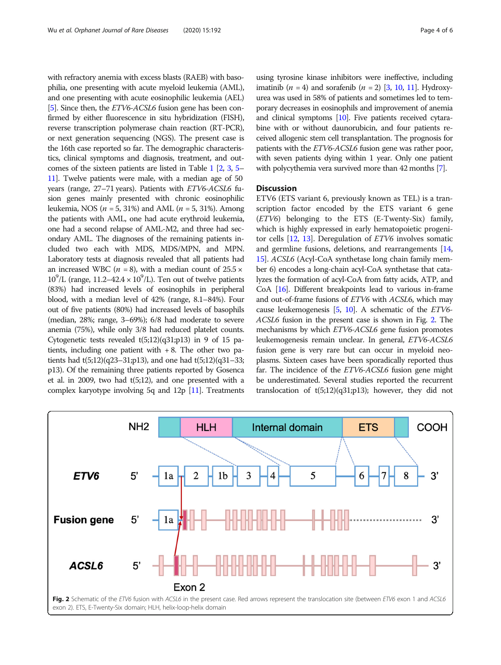with refractory anemia with excess blasts (RAEB) with basophilia, one presenting with acute myeloid leukemia (AML), and one presenting with acute eosinophilic leukemia (AEL) [[5](#page-5-0)]. Since then, the ETV6-ACSL6 fusion gene has been confirmed by either fluorescence in situ hybridization (FISH), reverse transcription polymerase chain reaction (RT-PCR), or next generation sequencing (NGS). The present case is the 16th case reported so far. The demographic characteristics, clinical symptoms and diagnosis, treatment, and outcomes of the sixteen patients are listed in Table [1](#page-2-0) [\[2,](#page-4-0) [3,](#page-4-0) [5](#page-5-0)– [11](#page-5-0)]. Twelve patients were male, with a median age of 50 years (range, 27–71 years). Patients with ETV6-ACSL6 fusion genes mainly presented with chronic eosinophilic leukemia, NOS ( $n = 5$ , 31%) and AML ( $n = 5$ , 31%). Among the patients with AML, one had acute erythroid leukemia, one had a second relapse of AML-M2, and three had secondary AML. The diagnoses of the remaining patients included two each with MDS, MDS/MPN, and MPN. Laboratory tests at diagnosis revealed that all patients had an increased WBC ( $n = 8$ ), with a median count of 25.5  $\times$  $10^9$ /L (range, 11.2–42.4 ×  $10^9$ /L). Ten out of twelve patients (83%) had increased levels of eosinophils in peripheral blood, with a median level of 42% (range, 8.1–84%). Four out of five patients (80%) had increased levels of basophils (median, 28%; range, 3–69%); 6/8 had moderate to severe anemia (75%), while only 3/8 had reduced platelet counts. Cytogenetic tests revealed  $t(5;12)(q31;p13)$  in 9 of 15 patients, including one patient with  $+8$ . The other two patients had  $t(5;12)(q23-31;p13)$ , and one had  $t(5;12)(q31-33;$ p13). Of the remaining three patients reported by Gosenca et al. in 2009, two had t(5;12), and one presented with a complex karyotype involving 5q and 12p [\[11\]](#page-5-0). Treatments

using tyrosine kinase inhibitors were ineffective, including imatinib ( $n = 4$ ) and sorafenib ( $n = 2$ ) [\[3,](#page-4-0) [10](#page-5-0), [11](#page-5-0)]. Hydroxyurea was used in 58% of patients and sometimes led to temporary decreases in eosinophils and improvement of anemia and clinical symptoms [\[10\]](#page-5-0). Five patients received cytarabine with or without daunorubicin, and four patients received allogenic stem cell transplantation. The prognosis for patients with the ETV6-ACSL6 fusion gene was rather poor, with seven patients dying within 1 year. Only one patient with polycythemia vera survived more than 42 months [\[7\]](#page-5-0).

# **Discussion**

ETV6 (ETS variant 6, previously known as TEL) is a transcription factor encoded by the ETS variant 6 gene (ETV6) belonging to the ETS (E-Twenty-Six) family, which is highly expressed in early hematopoietic progenitor cells [\[12,](#page-5-0) [13](#page-5-0)]. Deregulation of ETV6 involves somatic and germline fusions, deletions, and rearrangements [[14](#page-5-0), [15](#page-5-0)]. ACSL6 (Acyl-CoA synthetase long chain family member 6) encodes a long-chain acyl-CoA synthetase that catalyzes the formation of acyl-CoA from fatty acids, ATP, and CoA [\[16\]](#page-5-0). Different breakpoints lead to various in-frame and out-of-frame fusions of ETV6 with ACSL6, which may cause leukemogenesis [\[5,](#page-5-0) [10\]](#page-5-0). A schematic of the ETV6- ACSL6 fusion in the present case is shown in Fig. 2. The mechanisms by which ETV6-ACSL6 gene fusion promotes leukemogenesis remain unclear. In general, ETV6-ACSL6 fusion gene is very rare but can occur in myeloid neoplasms. Sixteen cases have been sporadically reported thus far. The incidence of the *ETV6-ACSL6* fusion gene might be underestimated. Several studies reported the recurrent translocation of  $t(5;12)(q31;p13)$ ; however, they did not

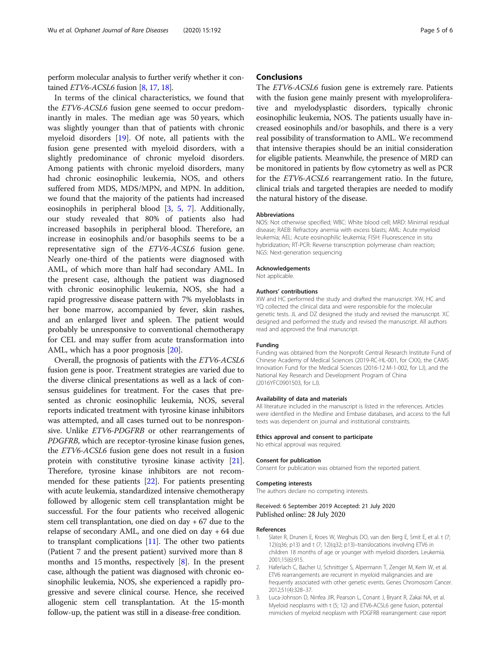<span id="page-4-0"></span>perform molecular analysis to further verify whether it contained  $ETV6$ -ACSL6 fusion [\[8](#page-5-0), [17](#page-5-0), [18](#page-5-0)].

In terms of the clinical characteristics, we found that the ETV6-ACSL6 fusion gene seemed to occur predominantly in males. The median age was 50 years, which was slightly younger than that of patients with chronic myeloid disorders [\[19](#page-5-0)]. Of note, all patients with the fusion gene presented with myeloid disorders, with a slightly predominance of chronic myeloid disorders. Among patients with chronic myeloid disorders, many had chronic eosinophilic leukemia, NOS, and others suffered from MDS, MDS/MPN, and MPN. In addition, we found that the majority of the patients had increased eosinophils in peripheral blood [3, [5,](#page-5-0) [7\]](#page-5-0). Additionally, our study revealed that 80% of patients also had increased basophils in peripheral blood. Therefore, an increase in eosinophils and/or basophils seems to be a representative sign of the ETV6-ACSL6 fusion gene. Nearly one-third of the patients were diagnosed with AML, of which more than half had secondary AML. In the present case, although the patient was diagnosed with chronic eosinophilic leukemia, NOS, she had a rapid progressive disease pattern with 7% myeloblasts in her bone marrow, accompanied by fever, skin rashes, and an enlarged liver and spleen. The patient would probably be unresponsive to conventional chemotherapy for CEL and may suffer from acute transformation into AML, which has a poor prognosis [\[20\]](#page-5-0).

Overall, the prognosis of patients with the ETV6-ACSL6 fusion gene is poor. Treatment strategies are varied due to the diverse clinical presentations as well as a lack of consensus guidelines for treatment. For the cases that presented as chronic eosinophilic leukemia, NOS, several reports indicated treatment with tyrosine kinase inhibitors was attempted, and all cases turned out to be nonresponsive. Unlike ETV6-PDGFRB or other rearrangements of PDGFRB, which are receptor-tyrosine kinase fusion genes, the ETV6-ACSL6 fusion gene does not result in a fusion protein with constitutive tyrosine kinase activity [[21](#page-5-0)]. Therefore, tyrosine kinase inhibitors are not recommended for these patients [[22](#page-5-0)]. For patients presenting with acute leukemia, standardized intensive chemotherapy followed by allogenic stem cell transplantation might be successful. For the four patients who received allogenic stem cell transplantation, one died on day + 67 due to the relapse of secondary AML, and one died on day + 64 due to transplant complications  $[11]$ . The other two patients (Patient 7 and the present patient) survived more than 8 months and 15 months, respectively [\[8\]](#page-5-0). In the present case, although the patient was diagnosed with chronic eosinophilic leukemia, NOS, she experienced a rapidly progressive and severe clinical course. Hence, she received allogenic stem cell transplantation. At the 15-month follow-up, the patient was still in a disease-free condition.

### Conclusions

The ETV6-ACSL6 fusion gene is extremely rare. Patients with the fusion gene mainly present with myeloproliferative and myelodysplastic disorders, typically chronic eosinophilic leukemia, NOS. The patients usually have increased eosinophils and/or basophils, and there is a very real possibility of transformation to AML. We recommend that intensive therapies should be an initial consideration for eligible patients. Meanwhile, the presence of MRD can be monitored in patients by flow cytometry as well as PCR for the ETV6-ACSL6 rearrangement ratio. In the future, clinical trials and targeted therapies are needed to modify the natural history of the disease.

#### Abbreviations

NOS: Not otherwise specified; WBC: White blood cell; MRD: Minimal residual disease; RAEB: Refractory anemia with excess blasts; AML: Acute myeloid leukemia; AEL: Acute eosinophilic leukemia; FISH: Fluorescence in situ hybridization; RT-PCR: Reverse transcription polymerase chain reaction; NGS: Next-generation sequencing

#### Acknowledgements

Not applicable.

#### Authors' contributions

XW and HC performed the study and drafted the manuscript. XW, HC and YQ collected the clinical data and were responsible for the molecular genetic tests. JL and DZ designed the study and revised the manuscript. XC designed and performed the study and revised the manuscript. All authors read and approved the final manuscript.

#### Funding

Funding was obtained from the Nonprofit Central Research Institute Fund of Chinese Academy of Medical Sciences (2019-RC-HL-001, for CXX), the CAMS Innovation Fund for the Medical Sciences (2016-12 M-1-002, for LJ), and the National Key Research and Development Program of China (2016YFC0901503, for LJ).

#### Availability of data and materials

All literature included in the manuscript is listed in the references. Articles were identified in the Medline and Embase databases, and access to the full texts was dependent on journal and institutional constraints.

#### Ethics approval and consent to participate

No ethical approval was required.

#### Consent for publication

Consent for publication was obtained from the reported patient.

#### Competing interests

The authors declare no competing interests.

#### Received: 6 September 2019 Accepted: 21 July 2020 Published online: 28 July 2020

#### References

- 1. Slater R, Drunen E, Kroes W, Weghuis DO, van den Berg E, Smit E, et al. t (7; 12)(q36; p13) and t (7; 12)(q32; p13)–translocations involving ETV6 in children 18 months of age or younger with myeloid disorders. Leukemia. 2001;15(6):915.
- 2. Haferlach C, Bacher U, Schnittger S, Alpermann T, Zenger M, Kern W, et al. ETV6 rearrangements are recurrent in myeloid malignancies and are frequently associated with other genetic events. Genes Chromosom Cancer. 2012;51(4):328–37.
- 3. Luca-Johnson D, Ninfea JIR, Pearson L, Conant J, Bryant R, Zakai NA, et al. Myeloid neoplasms with t (5; 12) and ETV6-ACSL6 gene fusion, potential mimickers of myeloid neoplasm with PDGFRB rearrangement: case report